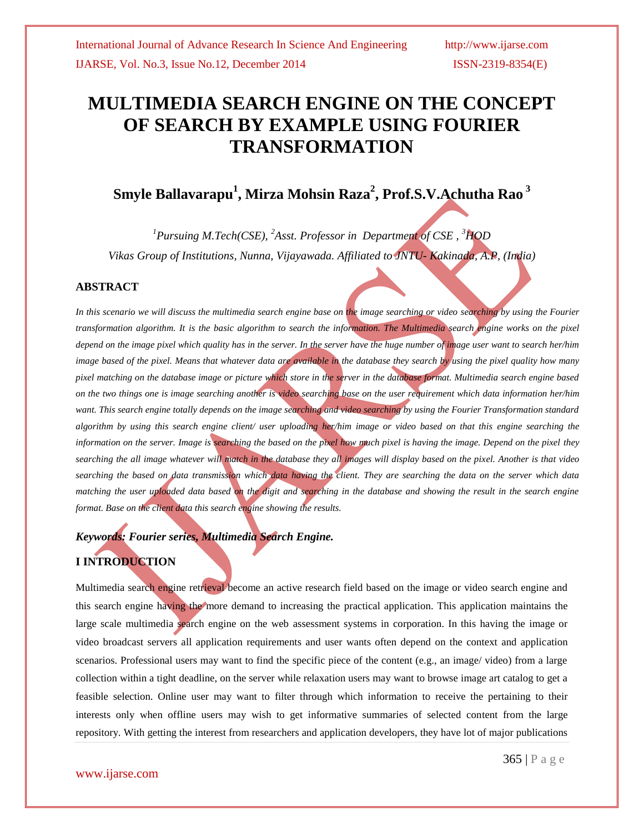# **MULTIMEDIA SEARCH ENGINE ON THE CONCEPT OF SEARCH BY EXAMPLE USING FOURIER TRANSFORMATION**

## **Smyle Ballavarapu<sup>1</sup> , Mirza Mohsin Raza<sup>2</sup> , Prof.S.V.Achutha Rao <sup>3</sup>**

*<sup>1</sup>Pursuing M.Tech(CSE), <sup>2</sup>Asst. Professor in Department of CSE , <sup>3</sup>HOD Vikas Group of Institutions, Nunna, Vijayawada. Affiliated to JNTU- Kakinada, A.P, (India)*

## **ABSTRACT**

In this scenario we will discuss the multimedia search engine base on the image searching or video searching by using the Fourier *transformation algorithm. It is the basic algorithm to search the information. The Multimedia search engine works on the pixel depend on the image pixel which quality has in the server. In the server have the huge number of image user want to search her/him image based of the pixel. Means that whatever data are available in the database they search by using the pixel quality how many pixel matching on the database image or picture which store in the server in the database format. Multimedia search engine based on the two things one is image searching another is video searching base on the user requirement which data information her/him want. This search engine totally depends on the image searching and video searching by using the Fourier Transformation standard algorithm by using this search engine client/ user uploading her/him image or video based on that this engine searching the information on the server. Image is searching the based on the pixel how much pixel is having the image. Depend on the pixel they searching the all image whatever will match in the database they all images will display based on the pixel. Another is that video searching the based on data transmission which data having the client. They are searching the data on the server which data matching the user uploaded data based on the digit and searching in the database and showing the result in the search engine format. Base on the client data this search engine showing the results.*

## *Keywords: Fourier series, Multimedia Search Engine.*

## **I INTRODUCTION**

Multimedia search engine retrieval become an active research field based on the image or video search engine and this search engine having the more demand to increasing the practical application. This application maintains the large scale multimedia search engine on the web assessment systems in corporation. In this having the image or video broadcast servers all application requirements and user wants often depend on the context and application scenarios. Professional users may want to find the specific piece of the content (e.g., an image/ video) from a large collection within a tight deadline, on the server while relaxation users may want to browse image art catalog to get a feasible selection. Online user may want to filter through which information to receive the pertaining to their interests only when offline users may wish to get informative summaries of selected content from the large repository. With getting the interest from researchers and application developers, they have lot of major publications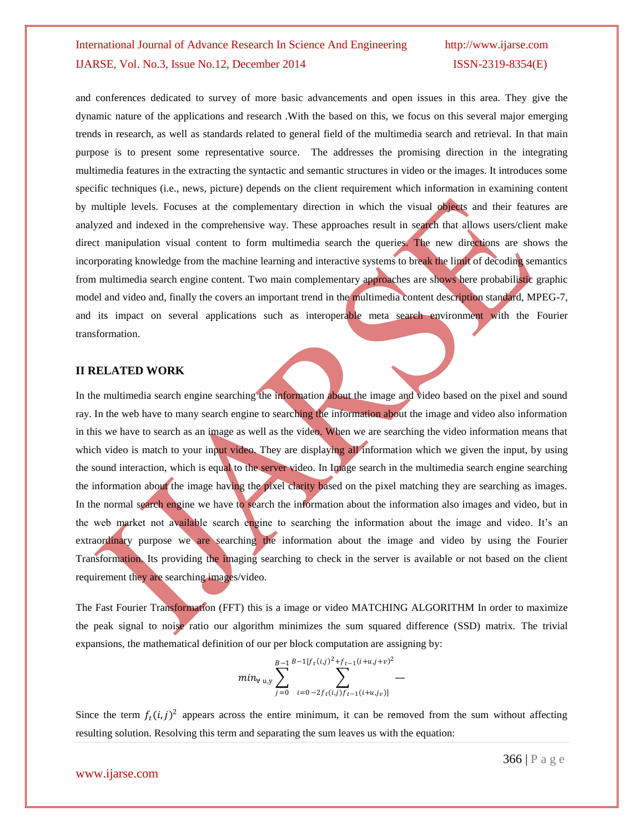and conferences dedicated to survey of more basic advancements and open issues in this area. They give the dynamic nature of the applications and research .With the based on this, we focus on this several major emerging trends in research, as well as standards related to general field of the multimedia search and retrieval. In that main purpose is to present some representative source. The addresses the promising direction in the integrating multimedia features in the extracting the syntactic and semantic structures in video or the images. It introduces some specific techniques (i.e., news, picture) depends on the client requirement which information in examining content by multiple levels. Focuses at the complementary direction in which the visual objects and their features are analyzed and indexed in the comprehensive way. These approaches result in search that allows users/client make direct manipulation visual content to form multimedia search the queries. The new directions are shows the incorporating knowledge from the machine learning and interactive systems to break the limit of decoding semantics from multimedia search engine content. Two main complementary approaches are shows here probabilistic graphic model and video and, finally the covers an important trend in the multimedia content description standard, MPEG-7, and its impact on several applications such as interoperable meta search environment with the Fourier transformation.

## **II RELATED WORK**

In the multimedia search engine searching the information about the image and video based on the pixel and sound ray. In the web have to many search engine to searching the information about the image and video also information in this we have to search as an image as well as the video. When we are searching the video information means that which video is match to your input video. They are displaying all information which we given the input, by using the sound interaction, which is equal to the server video. In Image search in the multimedia search engine searching the information about the image having the pixel clarity based on the pixel matching they are searching as images. In the normal search engine we have to search the information about the information also images and video, but in the web market not available search engine to searching the information about the image and video. It's an extraordinary purpose we are searching the information about the image and video by using the Fourier Transformation. Its providing the imaging searching to check in the server is available or not based on the client requirement they are searching images/video.

The Fast Fourier Transformation (FFT) this is a image or video MATCHING ALGORITHM In order to maximize the peak signal to noise ratio our algorithm minimizes the sum squared difference (SSD) matrix. The trivial expansions, the mathematical definition of our per block computation are assigning by:

$$
min_{\forall u,y} \sum_{j=0}^{B-1} \sum_{i=0}^{B-1[f_t(i,j)^2+f_{t-1}(i+u,j+v)^2]} \frac{1}{\sum_{i=0}^{B-1} \sum_{i=0}^{B-1} \sum_{j=f_t(i,j)f_{t-1}(i+u,j,v)}}.
$$

Since the term  $f_t(i,j)^2$  appears across the entire minimum, it can be removed from the sum without affecting resulting solution. Resolving this term and separating the sum leaves us with the equation: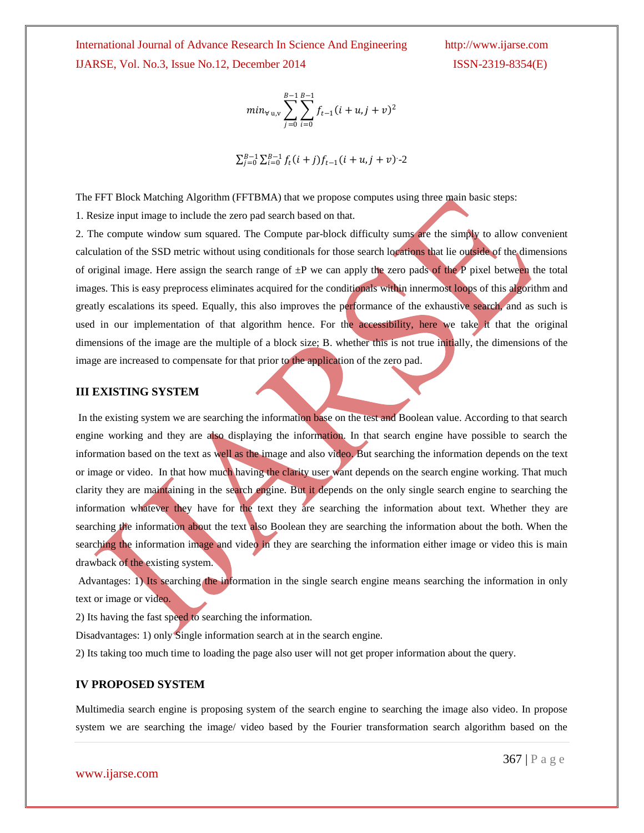International Journal of Advance Research In Science And Engineering IJARSE, Vol. No.3, Issue No.12, December 2014

$$
min_{\forall u,v} \sum_{j=0}^{B-1} \sum_{i=0}^{B-1} f_{t-1}(i+u,j+v)^2
$$

$$
\sum_{j=0}^{B-1} \sum_{i=0}^{B-1} f_t(i+j) f_{t-1}(i+u, j+v) - 2
$$

The FFT Block Matching Algorithm (FFTBMA) that we propose computes using three main basic steps:

1. Resize input image to include the zero pad search based on that.

2. The compute window sum squared. The Compute par-block difficulty sums are the simply to allow convenient calculation of the SSD metric without using conditionals for those search locations that lie outside of the dimensions of original image. Here assign the search range of  $\pm P$  we can apply the zero pads of the P pixel between the total images. This is easy preprocess eliminates acquired for the conditionals within innermost loops of this algorithm and greatly escalations its speed. Equally, this also improves the performance of the exhaustive search, and as such is used in our implementation of that algorithm hence. For the accessibility, here we take it that the original dimensions of the image are the multiple of a block size; B. whether this is not true initially, the dimensions of the image are increased to compensate for that prior to the application of the zero pad.

## **III EXISTING SYSTEM**

In the existing system we are searching the information base on the test and Boolean value. According to that search engine working and they are also displaying the information. In that search engine have possible to search the information based on the text as well as the image and also video. But searching the information depends on the text or image or video. In that how much having the clarity user want depends on the search engine working. That much clarity they are maintaining in the search engine. But it depends on the only single search engine to searching the information whatever they have for the text they are searching the information about text. Whether they are searching the information about the text also Boolean they are searching the information about the both. When the searching the information image and video in they are searching the information either image or video this is main drawback of the existing system.

Advantages: 1) Its searching the information in the single search engine means searching the information in only text or image or video.

2) Its having the fast speed to searching the information.

Disadvantages: 1) only Single information search at in the search engine.

2) Its taking too much time to loading the page also user will not get proper information about the query.

## **IV PROPOSED SYSTEM**

Multimedia search engine is proposing system of the search engine to searching the image also video. In propose system we are searching the image/ video based by the Fourier transformation search algorithm based on the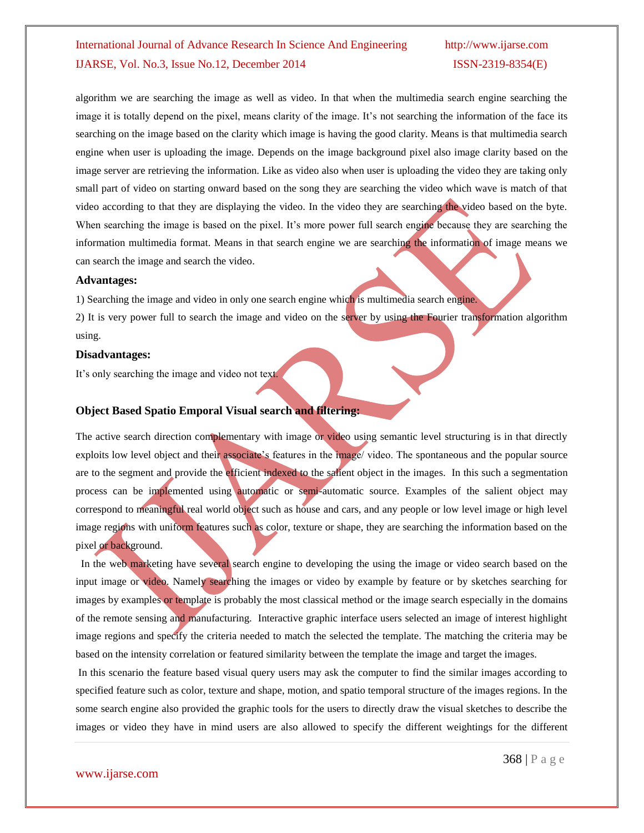algorithm we are searching the image as well as video. In that when the multimedia search engine searching the image it is totally depend on the pixel, means clarity of the image. It's not searching the information of the face its searching on the image based on the clarity which image is having the good clarity. Means is that multimedia search engine when user is uploading the image. Depends on the image background pixel also image clarity based on the image server are retrieving the information. Like as video also when user is uploading the video they are taking only small part of video on starting onward based on the song they are searching the video which wave is match of that video according to that they are displaying the video. In the video they are searching the video based on the byte. When searching the image is based on the pixel. It's more power full search engine because they are searching the information multimedia format. Means in that search engine we are searching the information of image means we can search the image and search the video.

### **Advantages:**

1) Searching the image and video in only one search engine which is multimedia search engine.

2) It is very power full to search the image and video on the server by using the Fourier transformation algorithm using.

## **Disadvantages:**

It's only searching the image and video not text.

## **Object Based Spatio Emporal Visual search and filtering:**

The active search direction complementary with image or video using semantic level structuring is in that directly exploits low level object and their associate's features in the image/ video. The spontaneous and the popular source are to the segment and provide the efficient indexed to the salient object in the images. In this such a segmentation process can be implemented using automatic or semi-automatic source. Examples of the salient object may correspond to meaningful real world object such as house and cars, and any people or low level image or high level image regions with uniform features such as color, texture or shape, they are searching the information based on the pixel or background.

In the web marketing have several search engine to developing the using the image or video search based on the input image or video. Namely searching the images or video by example by feature or by sketches searching for images by examples or template is probably the most classical method or the image search especially in the domains of the remote sensing and manufacturing. Interactive graphic interface users selected an image of interest highlight image regions and specify the criteria needed to match the selected the template. The matching the criteria may be based on the intensity correlation or featured similarity between the template the image and target the images.

In this scenario the feature based visual query users may ask the computer to find the similar images according to specified feature such as color, texture and shape, motion, and spatio temporal structure of the images regions. In the some search engine also provided the graphic tools for the users to directly draw the visual sketches to describe the images or video they have in mind users are also allowed to specify the different weightings for the different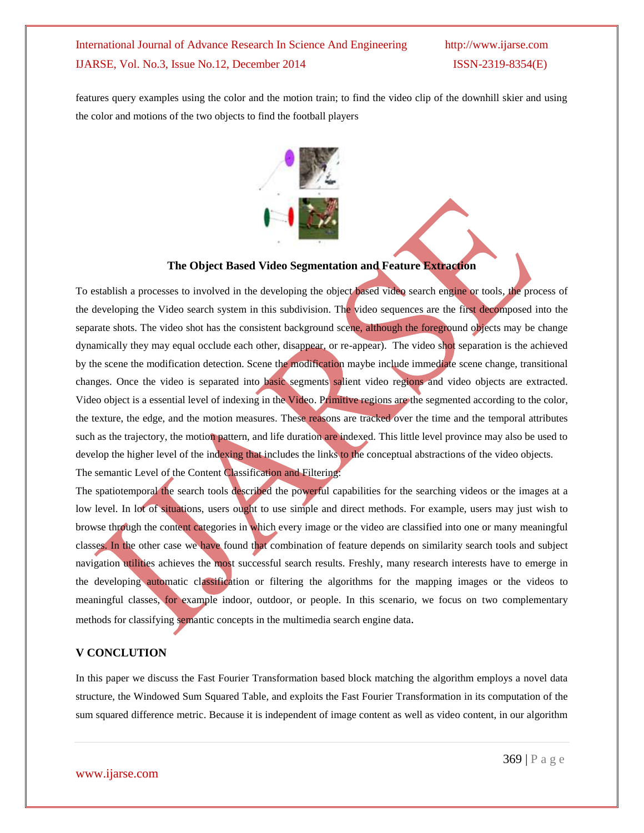features query examples using the color and the motion train; to find the video clip of the downhill skier and using the color and motions of the two objects to find the football players



## **The Object Based Video Segmentation and Feature Extraction**

To establish a processes to involved in the developing the object based video search engine or tools, the process of the developing the Video search system in this subdivision. The video sequences are the first decomposed into the separate shots. The video shot has the consistent background scene, although the foreground objects may be change dynamically they may equal occlude each other, disappear, or re-appear). The video shot separation is the achieved by the scene the modification detection. Scene the modification maybe include immediate scene change, transitional changes. Once the video is separated into basic segments salient video regions and video objects are extracted. Video object is a essential level of indexing in the Video. Primitive regions are the segmented according to the color, the texture, the edge, and the motion measures. These reasons are tracked over the time and the temporal attributes such as the trajectory, the motion pattern, and life duration are indexed. This little level province may also be used to develop the higher level of the indexing that includes the links to the conceptual abstractions of the video objects. The semantic Level of the Content Classification and Filtering:

The spatiotemporal the search tools described the powerful capabilities for the searching videos or the images at a low level. In lot of situations, users ought to use simple and direct methods. For example, users may just wish to browse through the content categories in which every image or the video are classified into one or many meaningful classes. In the other case we have found that combination of feature depends on similarity search tools and subject navigation utilities achieves the most successful search results. Freshly, many research interests have to emerge in the developing automatic classification or filtering the algorithms for the mapping images or the videos to meaningful classes, for example indoor, outdoor, or people. In this scenario, we focus on two complementary methods for classifying semantic concepts in the multimedia search engine data.

## **V CONCLUTION**

In this paper we discuss the Fast Fourier Transformation based block matching the algorithm employs a novel data structure, the Windowed Sum Squared Table, and exploits the Fast Fourier Transformation in its computation of the sum squared difference metric. Because it is independent of image content as well as video content, in our algorithm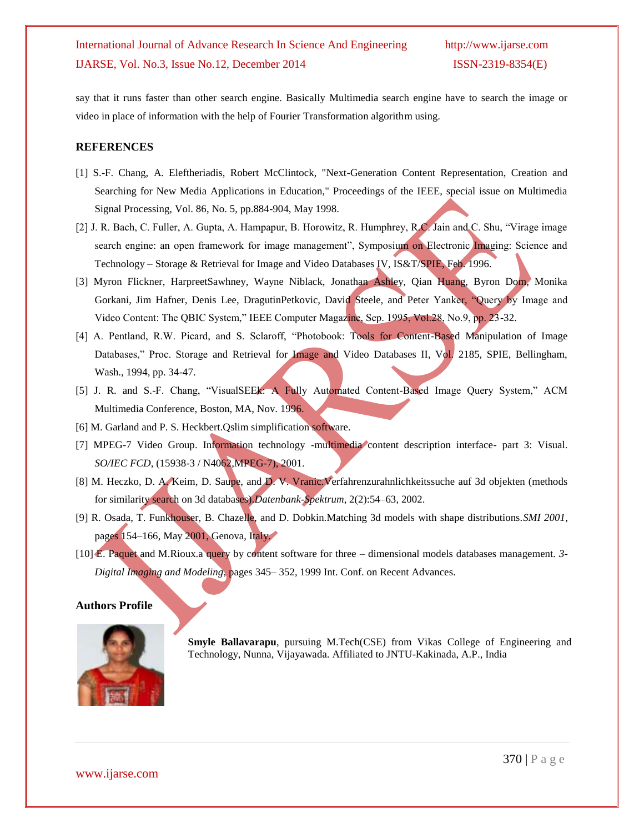say that it runs faster than other search engine. Basically Multimedia search engine have to search the image or video in place of information with the help of Fourier Transformation algorithm using.

## **REFERENCES**

- [1] S.-F. Chang, A. Eleftheriadis, Robert McClintock, "Next-Generation Content Representation, Creation and Searching for New Media Applications in Education," Proceedings of the IEEE, special issue on Multimedia Signal Processing, Vol. 86, No. 5, pp.884-904, May 1998.
- [2] J. R. Bach, C. Fuller, A. Gupta, A. Hampapur, B. Horowitz, R. Humphrey, R.C. Jain and C. Shu, "Virage image search engine: an open framework for image management", Symposium on Electronic Imaging: Science and Technology – Storage & Retrieval for Image and Video Databases IV, IS&T/SPIE, Feb. 1996.
- [3] Myron Flickner, HarpreetSawhney, Wayne Niblack, Jonathan Ashley, Qian Huang, Byron Dom, Monika Gorkani, Jim Hafner, Denis Lee, DragutinPetkovic, David Steele, and Peter Yanker, "Query by Image and Video Content: The QBIC System," IEEE Computer Magazine, Sep. 1995, Vol.28, No.9, pp. 23-32.
- [4] A. Pentland, R.W. Picard, and S. Sclaroff, "Photobook: Tools for Content-Based Manipulation of Image Databases," Proc. Storage and Retrieval for Image and Video Databases II, Vol. 2185, SPIE, Bellingham, Wash., 1994, pp. 34-47.
- [5] J. R. and S.-F. Chang, "VisualSEEk: A Fully Automated Content-Based Image Query System," ACM Multimedia Conference, Boston, MA, Nov. 1996.
- [6] M. Garland and P. S. Heckbert.Qslim simplification software.
- [7] MPEG-7 Video Group. Information technology -multimedia content description interface- part 3: Visual. *SO/IEC FCD*, (15938-3 / N4062,MPEG-7), 2001.
- [8] M. Heczko, D. A. Keim, D. Saupe, and D. V. Vranic. Verfahrenzurahnlichkeitssuche auf 3d objekten (methods for similarity search on 3d databases).*Datenbank-Spektrum*, 2(2):54–63, 2002.
- [9] R. Osada, T. Funkhouser, B. Chazelle, and D. Dobkin.Matching 3d models with shape distributions.*SMI 2001*, pages 154–166, May 2001, Genova, Italy.
- [10] E. Paquet and M.Rioux.a query by content software for three dimensional models databases management. *3- Digital Imaging and Modeling*, pages 345– 352, 1999 Int. Conf. on Recent Advances.

## **Authors Profile**



**Smyle Ballavarapu**, pursuing M.Tech(CSE) from Vikas College of Engineering and Technology, Nunna, Vijayawada. Affiliated to JNTU-Kakinada, A.P., India